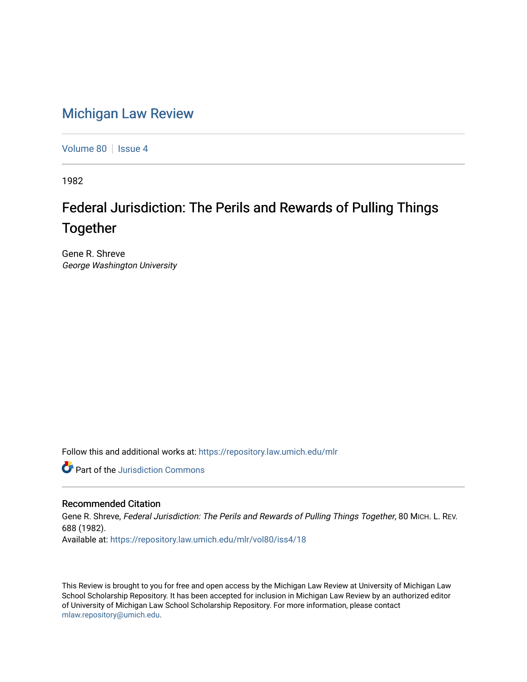## [Michigan Law Review](https://repository.law.umich.edu/mlr)

[Volume 80](https://repository.law.umich.edu/mlr/vol80) | [Issue 4](https://repository.law.umich.edu/mlr/vol80/iss4)

1982

# Federal Jurisdiction: The Perils and Rewards of Pulling Things Together

Gene R. Shreve George Washington University

Follow this and additional works at: [https://repository.law.umich.edu/mlr](https://repository.law.umich.edu/mlr?utm_source=repository.law.umich.edu%2Fmlr%2Fvol80%2Fiss4%2F18&utm_medium=PDF&utm_campaign=PDFCoverPages) 

**C** Part of the Jurisdiction Commons

### Recommended Citation

Gene R. Shreve, Federal Jurisdiction: The Perils and Rewards of Pulling Things Together, 80 MICH. L. REV. 688 (1982). Available at: [https://repository.law.umich.edu/mlr/vol80/iss4/18](https://repository.law.umich.edu/mlr/vol80/iss4/18?utm_source=repository.law.umich.edu%2Fmlr%2Fvol80%2Fiss4%2F18&utm_medium=PDF&utm_campaign=PDFCoverPages) 

This Review is brought to you for free and open access by the Michigan Law Review at University of Michigan Law School Scholarship Repository. It has been accepted for inclusion in Michigan Law Review by an authorized editor of University of Michigan Law School Scholarship Repository. For more information, please contact [mlaw.repository@umich.edu.](mailto:mlaw.repository@umich.edu)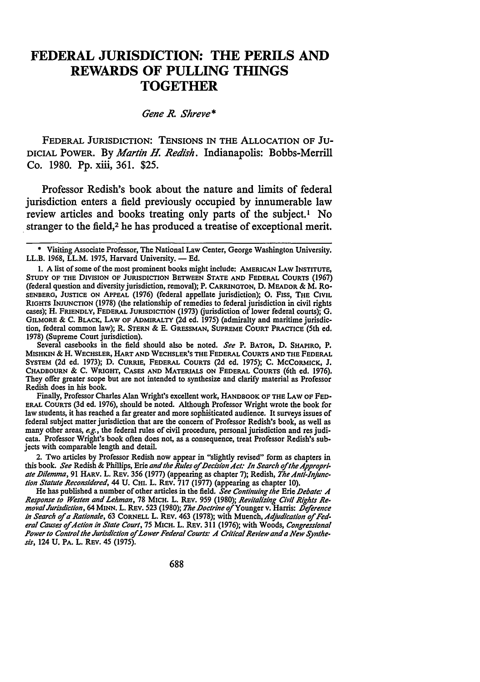### **FEDERAL JURISDICTION: THE PERILS AND REWARDS OF PULLING THINGS TOGETHER**

### *Gene* R *Shreve\**

FEDERAL JURISDICTION: TENSIONS IN THE ALLOCATION OF JU-DICIAL POWER. By *Martin H. Redish.* Indianapolis: Bobbs-Merrill Co. 1980. Pp. xiii, 361. \$25.

Professor Redish's book about the nature and limits of federal jurisdiction enters a field previously occupied by innumerable law review articles and books treating only parts of the subject.<sup>1</sup> No stranger to the field,<sup>2</sup> he has produced a treatise of exceptional merit.

Several casebooks in the field should also be noted. *See* P. BATOR, D. SHAPIRO, P. MISHKIN & H. WECHSLER, HART AND WECHSLER'S THE FEDERAL COURTS AND THE FEDERAL SYSTEM (2d ed. 1973); D. CURRIE, FEDERAL COURTS (2d ed. 1975); C. McCORMICK, J. CHADBOURN & C. WRIGHT, CASES AND MATERIALS ON FEDERAL COURTS (6th ed. 1976), They offer greater scope but are not intended to synthesize and clarify material as Professor Redish does in his book.

Finally, Professor Charles Alan Wright's excellent work, HANDBOOK OF THE LAW OF FED· ERAL COURTS (3d ed. 1976), should be noted. Although Professor Wright wrote the book for law students, it has reached a far greater and more sophisticated audience. It surveys issues of federal subject matter jurisdiction that are the concern of Professor Redish's book, as well as many other areas, *e.g.,* the federal rules of civil procedure, personal jurisdiction and res judicata. Professor Wright's book often does not, as a consequence, treat Professor Redish's subjects with comparable length and detail.

2. Two articles by Professor Redish now appear in "slightly revised" form as chapters in this book. See Redish & Phillips, Erie and the Rules of Decision Act: In Search of the Appropriate Dilemma, 91 HARV. L. REV. 356 (1977) (appearing as chapter 7); Redish, *The Anti-Injunction Statute Reconsidered,* 44 U. CHI. L. REV. 717 (1977) (appearing as chapter 10).

He has published a number of other articles in the field. *See Continuing the Erie Debate: A Response to Westen and Lehman,* 78 MICH. L. REV. 959 (1980); *Revitalizing Civil Rights Re-moval Jurisdiction,* 64 MINN. L. REv. 523 (1980); *The .Doctrine of* Younger v. Harris: *.Deference in Search oj a Rationale,* 63 CORNELL L. REV. 463 (1978); with Muench, *Adjudication oj Federal Causes oj Action in State Court,* 75 MICH. L. REV. 311 (1976); with Woods, *Congressional Power to Control the Jurisdiction oj Lower Federal Courts: A Critical Review and a New Synthesis,* 124 U. PA. L. REv. 45 (1975).

<sup>\*</sup> Visiting Associate Professor, The National Law Center, George Washington University. LL.B. 1968, LL.M. 1975, Harvard University. - Ed.

<sup>1.</sup> A list of some of the most prominent books might include: AMERICAN LAW INSTITUTE, STUDY OF THE DIVISION OF JURISDICTION BETWEEN STATE AND FEDERAL COURTS (1967) (federal question and diversity jurisdiction, removal); P. CARRINGTON, D. MEADOR & M. Ro-SENBERG, JUSTICE ON APPEAL (1976) (federal appellate jurisdiction); 0. F1ss, THE CIVIL RIGHTS INJUNCTION (1978) (the relationship of remedies to federal jurisdiction in civil rights cases); H. FRIENDLY, FEDERAL JURISDICTION (1973) (jurisdiction of lower federal courts); G. GILMORE & C. BLACK, LAW OF ADMIRALTY (2d ed. 1975) (admiralty and maritime jurisdiction, federal common law); R. STERN & E. GRESSMAN, SUPREME COURT PRACTICE (5th ed. 1978) (Supreme Court jurisdiction).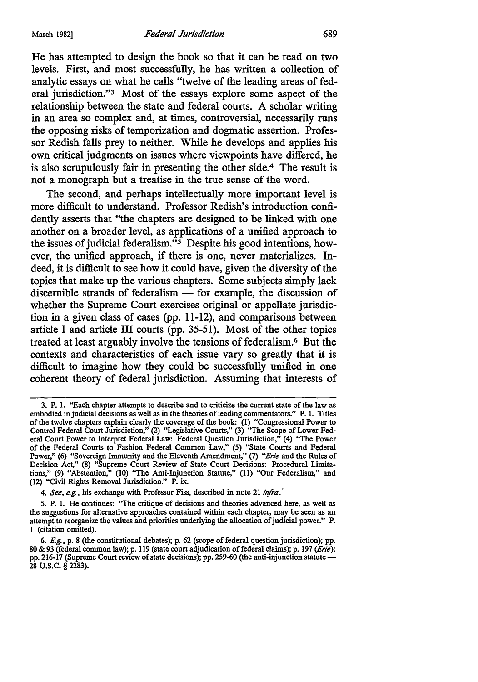He has attempted to design the book so that it can be read on two levels. First, and most successfully, he has written a collection of analytic essays on what he calls "twelve of the leading areas of federal jurisdiction."3 Most of the essays explore some aspect of the relationship between the state and federal courts. A scholar writing in an area so complex and, at times, controversial, necessarily runs the opposing risks of temporization and dogmatic assertion. Professor Redish falls prey to neither. While he develops and applies his own critical judgments on issues where viewpoints have differed, he is also scrupulously fair in presenting the other side.4 The result is not a monograph but a treatise in the true sense of the word.

The second, and perhaps intellectually more important level is more difficult to understand. Professor Redish's introduction confidently asserts that "the chapters are designed to be linked with one another on a broader level, as applications of a unified approach to the issues of judicial federalism."5 Despite his good intentions, however, the unified approach, if there is one, never materializes. Indeed, it is difficult to see how it could have, given the diversity of the topics that make up the various chapters. Some subjects simply lack discernible strands of federalism  $-$  for example, the discussion of whether the Supreme Court exercises original or appellate jurisdiction in a given class of cases (pp. 11-12), and comparisons between article I and article III courts (pp. 35-51 ). Most of the other topics treated at least arguably involve the tensions of federalism.6 But the contexts and characteristics of each issue vary so greatly that it is difficult to imagine how they could be successfully unified in one coherent theory of federal jurisdiction. Assuming that interests of

<sup>3.</sup> P. 1. "Each chapter attempts to describe and to criticize the current state of the law as embodied in judicial decisions as well as in the theories of leading commentators." P. 1. Titles of the twelve chapters explain clearly the coverage of the book: (1) "Congressional Power to Control Federal Court Jurisdiction," (2) "Legislative Courts," (3) ''The Scope of Lower Federal Court Power to Interpret Federal Law: Federal Question Jurisdiction," (4) ''The Power of the Federal Courts to Fashion Federal Common Law," (5) "State Courts and Federal Power," (6) "Sovereign Immunity and the Eleventh Amendment," (7) "Erie and the Rules of Decision Act," (8) "Supreme Court Review of State Court Decisions: Procedural Limitations," (9) "Abstention," (10) ''The Anti-Injunction Statute," (11) "Our Federalism," and (12) "Civil Rights Removal Jurisdiction." **P.** ix.

<sup>4.</sup> *See, e.g.,* his exchange with Professor Fiss, described in note 21 *infra.·* 

<sup>5.</sup> **P.** I. He continues: ''The critique of decisions and theories advanced here, as well as the suggestions for alternative approaches contained within each chapter, may be seen as an attempt to reorganize the values and priorities underlying the allocation of judicial power." P. 1 ( citation omitted).

<sup>6.</sup> *E.g.,* p. 8 (the constitutional debates); p. 62 (scope of federal question jurisdiction); pp. 80 & 93 (federal common law); p. 119 (state court adjudication of federal claims); p. 197 (Erie); pp. 216-17 (Supreme Court review of state decisions); pp. 259-60 (the anti-injunction statute - 28 u.s.c. § 2283).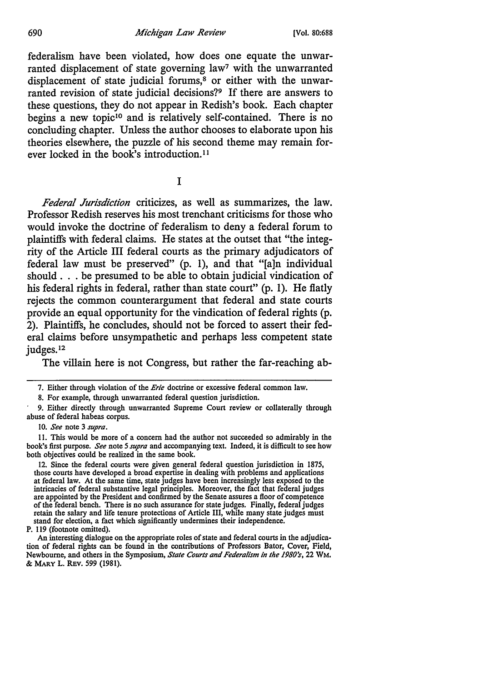federalism have been violated, how does one equate the unwarranted displacement of state governing law<sup>7</sup> with the unwarranted displacement of state judicial forums,<sup>8</sup> or either with the unwarranted revision of state judicial decisions?9 If there are answers to these questions, they do not appear in Redish's book. Each chapter begins a new topic<sup>10</sup> and is relatively self-contained. There is no concluding chapter. Unless the author chooses to elaborate upon his theories elsewhere, the puzzle of his second theme may remain forever locked in the book's introduction. <sup>11</sup>

I

*Federal Jurisdiction* criticizes, as well as summarizes, the law. Professor Redish reserves his most trenchant criticisms for those who would invoke the doctrine of federalism to deny a federal forum to plaintiffs with federal claims. He states at the outset that "the integrity of the Article III federal courts as the primary adjudicators of federal law must be preserved" (p. 1), and that "[a]n individual should . . . be presumed to be able to obtain judicial vindication of his federal rights in federal, rather than state court" (p. 1). He flatly rejects the common counterargument that federal and state courts provide an equal opportunity for the vindication of federal rights (p. 2). Plaintiffs, he concludes, should not be forced to assert their federal claims before unsympathetic and perhaps less competent state judges.12

The villain here is not Congress, but rather the far-reaching ab-

<sup>7.</sup> Either through violation of the *Erie* doctrine or excessive federal common law.

<sup>8.</sup> For example, through unwarranted federal question jurisdiction.

<sup>9.</sup> Either directly through unwarranted Supreme Court review or collaterally through abuse of federal habeas corpus.

<sup>10.</sup> *See* note 3 *supra.* 

I I. This would be more of a concern had the author not succeeded so admirably in the book's first purpose. *See* note *5 supra* and accompanying text. Indeed, it is difficult to see how both objectives could be realized in the same book.

<sup>12.</sup> Since the federal courts were given general federal question jurisdiction in 1875, those courts have developed a broad expertise in dealing with problems and applications at federal law. At the same time, state judges have been increasingly less exposed to the intricacies of federal substantive legal principles. Moreover, the fact that federal judges are appointed by the President and confirmed by the Senate assures a floor of competence of the federal bench. There is no such assurance for state judges. Finally, federal judges retain the salary and life tenure protections of Article III, while many state judges must stand for election, a fact which significantly undermines their independence.

P. 119 (footnote omitted).

An interesting dialogue on the appropriate roles of state and federal courts in the adjudication of federal rights can be found in the contributions of Professors Bator, Cover, Field, Newboume, and others in the Symposium, *Stale Courts and Federalism in the 1980's,* 22 WM. & MARYL. REv. 599 (1981).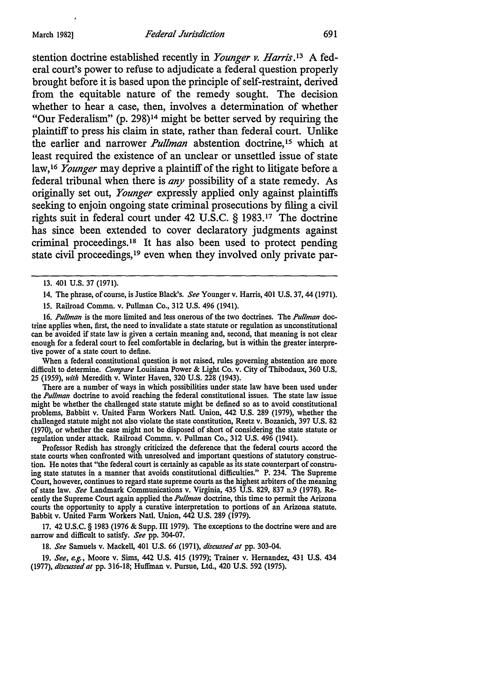stention doctrine established recently in *Younger v. Harris.13* A federal court's power to refuse to adjudicate a federal question properly brought before it is based upon the principle of self-restraint, derived from the equitable nature of the remedy sought. The decision whether to hear a case, then, involves a determination of whether "Our Federalism" (p. 298)14 might be better served by requiring the plaintiff to press his claim in state, rather than federal court. Unlike the earlier and narrower *Pullman* abstention doctrine, 15 which at least required the existence of an unclear or unsettled issue of state law, 16 *Younger* may deprive a plaintiff of the right to litigate before a federal tribunal when there is *any* possibility of a state remedy. As originally set out, *Younger* expressly applied only against plaintiffs seeking to enjoin ongoing state criminal prosecutions by filing a civil rights suit in federal court under 42 U.S.C. § 1983.17 The doctrine has since been extended to cover declaratory judgments against criminal proceedings. 18 It has also been used to protect pending state civil proceedings, 19 even when they involved only private par-

15. Railroad Commn. v. Pullman Co., 312 U.S. 496 (1941).

16. *Pullman* is the more limited and less onerous of the two doctrines. The *Pullman* doctrine applies when, first, the need to invalidate a state statute or regulation as unconstitutional can be avoided if state law is given a certain meaning and, second, that meaning is not clear enough for a federal court to feel comfortable in declaring, but is within the greater interpretive power of a state court to define.

When a federal constitutional question is not raised, rules governing abstention are more difficult to determine. *Compare* Louisiana Power & Light Co. v. City of Thibodaux, 360 U.S. 25 (1959), *with* Meredith v. Winter Haven, 320 U.S. 228 (1943).

There are a number of ways in which possibilities under state law have been used under the *Pullman* doctrine to avoid reaching the federal constitutional issues. The state law issue might be whether the challenged state statute might be defined so as to avoid constitutional problems, Babbitt v. United Farm Workers Natl. Union, 442 U.S. 289 (1979), whether the challenged statute might not also violate the state constitution, Reetz v. Bozanich, 397 U.S. 82 (1970), or whether the case might not be disposed of short of considering the state statute or regulation under attack. Railroad Commn. v. Pullman Co., 312 U.S. 496 (1941).

Professor Redish has strongly criticized the deference that the federal courts accord the state courts when confronted with unresolved and important questions of statutory construction. He notes that "the federal court is certainly as capable as its state counterpart of construing state statutes in a manner that avoids constitutional difficulties." P. 234. The Supreme Court, however, continues to regard state supreme courts as the highest arbiters of the meaning of state law. *See* Landmark Communications v. Virginia, 435 U.S. 829, 837 n.9 (1978). Recently the Supreme Court again applied the *Pullman* doctrine, this time to permit the Arizona courts the opportunity to apply a curative interpretation to portions of an Arizona statute. Babbit v. United Farm Workers Natl. Union, 442 U.S. 289 (1979).

17. 42 U.S.C. § 1983 (1976 & Supp. III 1979). The exceptions to the doctrine were and are narrow and difficult to satisfy. *See* pp. 304-07.

18. *See* Samuels v. Mackell, 401 U.S. 66 (1971), *discussed at* pp. 303-04.

19. *See, e.g.,* Moore v. Sims, 442 U.S. 415 (1979); Trainer v. Hernandez, 431 U.S. 434 (1977), *discussed at* pp. 316-18; Huffman v. Pursue, Ltd., 420 U.S. 592 (1975).

<sup>13. 401</sup> U.S. 37 (1971).

<sup>14.</sup> The phrase, of course, is Justice Black's. *See* Younger v. Harris, 401 U.S. 37, 44 (1971).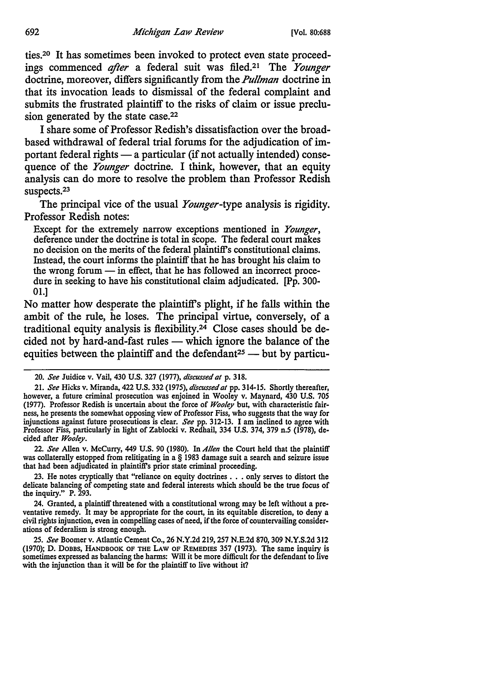ties.20 It has sometimes been invoked to protect even state proceedings commenced *after* a federal suit was filed.<sup>21</sup> The *Younger* doctrine, moreover, differs significantly from the *Pullman* doctrine in that its invocation leads to dismissal of the federal complaint and submits the frustrated plaintiff to the risks of claim or issue preclusion generated by the state case.<sup>22</sup>

I share some of Professor Redish's dissatisfaction over the broadbased withdrawal of federal trial forums for the adjudication of important federal rights — a particular (if not actually intended) consequence of the *Younger* doctrine. I think, however, that an equity analysis can do more to resolve the problem than Professor Redish suspects.<sup>23</sup>

The principal vice of the usual *Younger-type* analysis is rigidity. Professor Redish notes:

Except for the extremely narrow exceptions mentioned in *Younger,*  deference under the doctrine is total in scope. The federal court makes no decision on the merits of the federal plaintiff's constitutional claims. Instead, the court informs the plaintiff that he has brought his claim to the wrong forum  $-$  in effect, that he has followed an incorrect procedure in seeking to have his constitutional claim adjudicated. [Pp. 300- 01.]

No matter how desperate the plaintifrs plight, if he falls within the ambit of the rule, he loses. The principal virtue, conversely, of a traditional equity analysis is flexibility.24 Close cases should be decided not by hard-and-fast rules - which ignore the balance of the equities between the plaintiff and the defendant<sup>25</sup> - but by particu-

22. *See* Allen v. Mccurry, 449 U.S. 90 (1980). In *Allen* the Court held that the plaintiff was collaterally estopped from relitigating in a § 1983 damage suit a search and seizure issue that had been adjudicated in plaintiffs prior state criminal proceeding.

23. He notes cryptically that "reliance on equity doctrines . . . only serves to distort the delicate balancing of competing state and federal interests which should be the true focus of the inquiry." P. 293.

24. Granted, a plaintiff threatened with a constitutional wrong may be left without a preventative remedy. It may be appropriate for the court, in its equitable discretion, to deny a civil rights injunction, even in compelling cases of need, if the force of countervailing considerations of federalism is strong enough.

25. *See* Boomer v. Atlantic Cement Co., 26 N.Y.2d 219, 257 N.E.2d 870, 309 N.Y.S.2d 312 (1970); D. DOBBS, HANDBOOK OF THE LAW OF REMEDIES 357 (1973). The same inquiry is sometimes expressed as balancing the harms: Will it be more difficult for the defendant to live with the injunction than it will be for the plaintiff to live without it?

<sup>20.</sup> *See* Juidice v. Vail, 430 U.S. 327 (1977), *discussed at* p. 318.

<sup>21.</sup> See Hicks v. Miranda, 422 U.S. 332 (1975), *discussed at* pp. 314-15. Shortly thereafter, however, a future criminal prosecution was enjoined in Wooley v. Maynard, 430 U.S. 705 (1977). Professor Redish is uncertain about the force of *Wooley* but, with characteristic fairness, he presents the somewhat opposing view of Professor Fiss, who suggests that the way for injunctions against future prosecutions is clear. *See* pp. 312-13. I am inclined to agree with Professor Fiss, particularly in light of Zablocki v. Redhail, 334 U.S. 374, 379 n.5 (1978), decided after *Wooley.*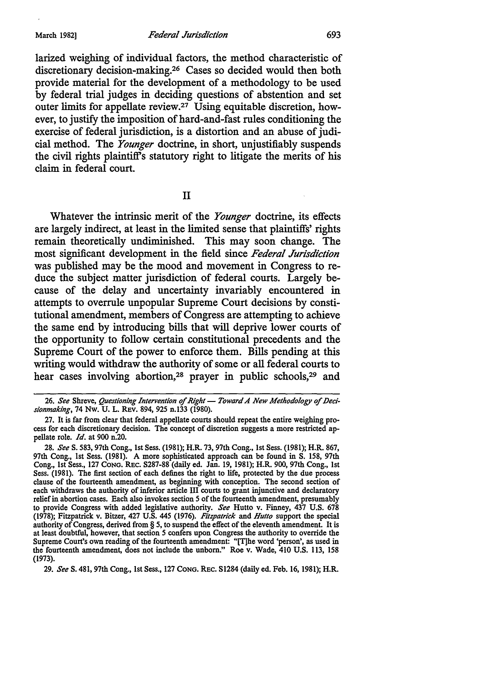larized weighing of individual factors, the method characteristic of discretionary decision-making.26 Cases so decided would then both provide material for the development of a methodology to be used by federal trial judges in deciding questions of abstention and set outer limits for appellate review.27 Using equitable discretion, however, to justify the imposition of hard-and-fast rules conditioning the exercise of federal jurisdiction, is a distortion and an abuse of judicial method. The *Younger* doctrine, in short, unjustifiably suspends the civil rights plaintiffs statutory right to litigate the merits of his claim in federal court.

II

Whatever the intrinsic merit of the *Younger* doctrine, its effects are largely indirect, at least in the limited sense that plaintiffs' rights remain theoretically undiminished. This may soon change. The most significant development in the field since *Federal Jurisdiction*  was published may be the mood and movement in Congress to reduce the subject matter jurisdiction of federal courts. Largely because of the delay and uncertainty invariably encountered in attempts to overrule unpopular Supreme Court decisions by constitutional amendment, members of Congress are attempting to achieve the same end by introducing bills that will deprive lower courts of the opportunity to follow certain constitutional precedents and the Supreme Court of the power to enforce them. Bills pending at this writing would withdraw the authority of some or all federal courts to hear cases involving abortion,<sup>28</sup> prayer in public schools,<sup>29</sup> and

29. *See* S. 481, 97th Cong., 1st Sess., 127 CONG. REC. S1284 (daily ed. Feb. 16, 1981); H.R.

<sup>26.</sup> See Shreve, Questioning Intervention of Right - Toward A New Methodology of Deci*sionmaking, 14* Nw. U. L. REV. 894, 925 n.133 (1980).

<sup>27.</sup> It is far from clear that federal appellate courts should repeat the entire weighing process for each discretionary decision. The concept of discretion suggests a more restricted appellate role. *Id.* at 900 n.20.

<sup>28.</sup> *See* S. 583, 97th Cong., 1st Sess. (1981); H.R. 73, 97th Cong., 1st Sess. (1981); H.R. 867, 97th Cong., 1st Sess. (1981). A more sophisticated approach can be found in S. 158, 97th Cong., 1st Sess., 127 CONG. REC. S287-88 (daily ed. Jan. 19, 1981); H.R. 900, 97th Cong., 1st Sess. (1981). The first section of each defines the right to life, protected by the due process clause of the fourteenth amendment, as beginning with conception. The second section of each withdraws the authority of inferior article III courts to grant injunctive and declaratory relief in abortion cases. Each also invokes section *5* of the fourteenth amendment, presumably to provide Congress with added legislative authority. *See* Hutto v. Finney, 437 U.S. 678 (1978); Fitzpatrick v. Bitzer, 427 U.S. 445 (1976). *Fitzpatrick* and *Hutto* support the special authority of Congress, derived from § 5, to suspend the effect of the eleventh amendment. It is at least doubtful, however, that section *5* confers upon Congress the authority to override the Supreme Court's own reading of the fourteenth amendment: "[T]he word 'person', as used in the fourteenth amendment, does not include the unborn." Roe v. Wade, 410 U.S. 113, 158 (1973).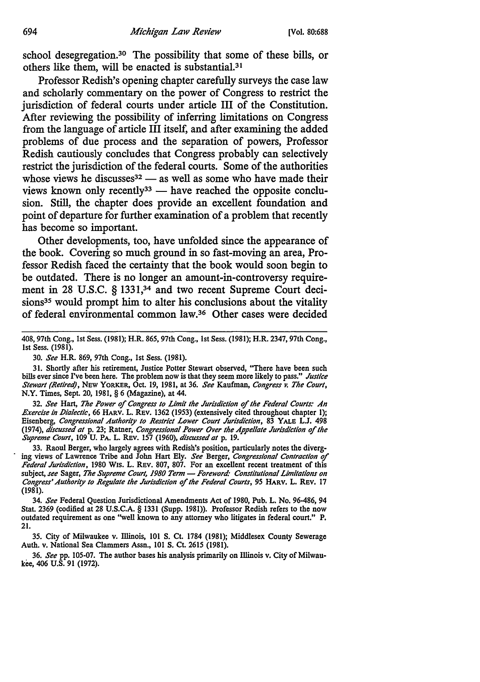school desegregation.<sup>30</sup> The possibility that some of these bills, or others like them, will be enacted is substantial.31

Professor Redish's opening chapter carefully surveys the case law and scholarly commentary on the power of Congress to restrict the jurisdiction of federal courts under article III of the Constitution. After reviewing the possibility of inferring limitations on Congress from the language of article III itself, and after examining the added problems of due process and the separation of powers, Professor Redish cautiously concludes that Congress probably can selectively restrict the jurisdiction of the federal courts. Some of the authorities whose views he discusses<sup>32</sup> - as well as some who have made their views known only recently<sup>33</sup> - have reached the opposite conclusion. Still, the chapter does provide an excellent foundation and point of departure for further examination of a problem that recently has become so important.

Other developments, too, have unfolded since the appearance of the book. Covering so much ground in so fast-moving an area, Professor Redish faced the certainty that the book would soon begin to be outdated. There is no longer an amount-in-controversy requirement in 28 U.S.C. § 1331,<sup>34</sup> and two recent Supreme Court decisions<sup>35</sup> would prompt him to alter his conclusions about the vitality of federal environmental common law.36 Other cases were decided

32. *See* Hart, *The Power* of *Congress to Limit the Jurisdiction* of *the Federal Courts: An Exercise in Dialectic*, 66 HARV. L. REV. 1362 (1953) (extensively cited throughout chapter 1); Eisenberg, *Congressional Authority to Restrict Lower Court Jurisdiction,* 83 YALE L.J. 498 (1974), *discussed at* p. 23; Ratner, *Congressional Power Over the Appellate Jurisdiction* of */he Supreme Court,* 109 U. PA. L. Rev. 157 (1960), *discussed al* p. 19.

33. Raoul Berger, who largely agrees with Redish's position, particularly notes the diverging views of Lawrence Tribe and John Hart Ely. *See* Berger, *Congressional Contraction* of *Federal Jurisdiction,* 1980 Wis. L. Rev. 807, 807. For an excellent recent treatment of this subject, see Sager, The Supreme Court, 1980 Term - Foreword: Constitutional Limitations on *Congress' Authority to Regulate the Jurisdiction* of *the Federal Courts,* 95 HARV. L. Rev. 17 (1981).

34. *See* Federal Question Jurisdictional Amendments Act of 1980, Pub. L. No. 96-486, 94 Stat. 2369 (codified at 28 U.S.C.A. § 1331 (Supp. 1981)). Professor Redish refers to the now outdated requirement as one "well known to any attorney who litigates in federal court." P. 21.

35. City of Milwaukee v. Illinois, IOI S. Ct. 1784 (1981); Middlesex County Sewerage Auth. v. National Sea Clammers Assn., IOI S. Ct. 2615 (1981).

36. *See* pp. 105-07. The author bases his analysis primarily on Illinois v. City of Milwaukee, 406 U.S. 91 (1972).

<sup>408, 97</sup>th Cong., 1st Sess. (1981); H.R. 865, 97th Cong., 1st Sess. (1981); H.R. 2347, 97th Cong., 1st Sess. (1981).

<sup>30.</sup> *See* H.R. 869, 97th Cong., 1st Sess. (1981).

<sup>31.</sup> Shortly after his retirement, Justice Potter Stewart observed, ''There have been such bills ever since I've been here. The problem now is that they seem more likely to pass." *Jusllce Stewart (Retired),* New YORKER, Oct. 19, 1981, at 36. *See* Kaufman, *Congress v. The Court,*  N.Y. Times, Sept. 20, 1981, § 6 (Magazine), at 44.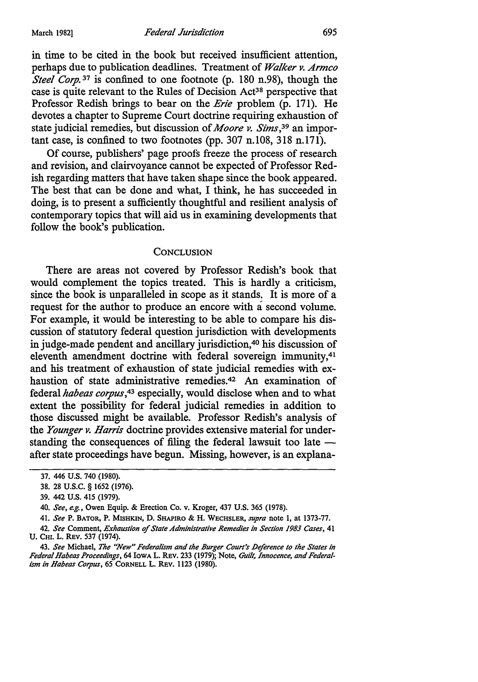in time to be cited in the book but received insufficient attention, perhaps due to publication deadlines. Treatment of *Walker v. Armco Steel Corp.*<sup>37</sup> is confined to one footnote (p. 180 n.98), though the case is quite relevant to the Rules of Decision Act<sup>38</sup> perspective that Professor Redish brings to bear on the *Erie* problem (p. 171). He devotes a chapter to Supreme Court doctrine requiring exhaustion of state judicial remedies, but discussion of *Moore v. Sims,39* an important case, is confined to two footnotes (pp. 307 n.108, 318 n.171).

Of course, publishers' page proofs freeze the process of research and revision, and clairvoyance cannot be expected of Professor Redish regarding matters that have taken shape since the book appeared. The best that can be done and what, I think, he has succeeded in doing, is to present a sufficiently thoughtful and resilient analysis of contemporary topics that will aid us in examining developments that follow the book's publication.

#### **CONCLUSION**

There are areas not covered by Professor Redish's book that would complement the topics treated. This is hardly a criticism, since the book is unparalleled in scope as it stands. It is more of a request for the author to produce an encore with a second volume. For example, it would be interesting to be able to compare his discussion of statutory federal question jurisdiction with developments in judge-made pendent and ancillary jurisdiction,<sup>40</sup> his discussion of eleventh amendment doctrine with federal sovereign immunity,<sup>41</sup> and his treatment of exhaustion of state judicial remedies with exhaustion of state administrative remedies.<sup>42</sup> An examination of federal *habeas copus,43* especially, would disclose when and to what extent the possibility for federal judicial remedies in addition to those discussed might be available. Professor Redish's analysis of the *Younger v. Harris* doctrine provides extensive material for understanding the consequences of filing the federal lawsuit too late  $$ after state proceedings have begun. Missing, however, is an explana-

41. *See* P. BATOR, P. MISHKIN, D. SHAPIRO & H. WECHSLER, *supra* note l, at 1373-77.

<sup>37. 446</sup> U.S. 740 (1980).

<sup>38. 28</sup> u.s.c. § 1652 (1976).

<sup>39. 442</sup> U.S. 415 (1979).

<sup>40.</sup> *See, e.g.,* Owen Equip. & Erection Co. v. Kroger, 437 U.S. 365 (1978).

<sup>42.</sup> *See* Comment, *Exhaustion of State Administrative Remedies in Section 1983 Cases,* 41 U. Cm. L. REV. 537 (1974).

<sup>43.</sup> See Michael, The "New" Federalism and the Burger Court's Deference to the States in Federal Habeas Proceedings, 64 Iowa L. REV. 233 (1979); Note, Guilt, Innocence, and Federal*ism in Habeas Corpus,* 65 CORNELL L. REv. ll23 (1980).